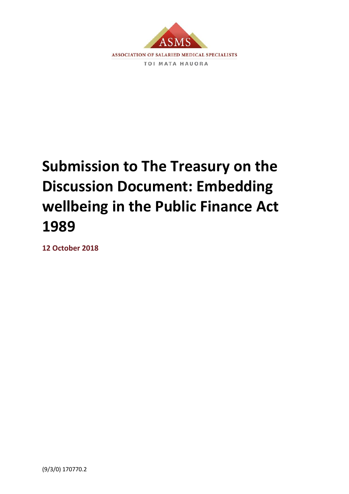

# **Submission to The Treasury on the Discussion Document: Embedding wellbeing in the Public Finance Act 1989**

**12 October 2018**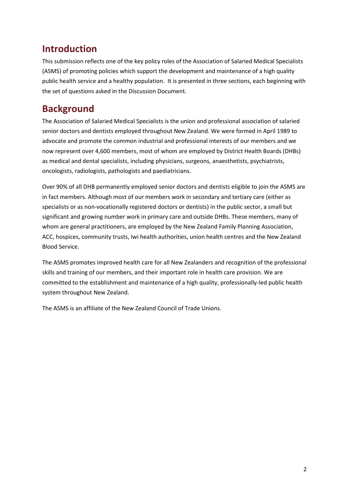#### **Introduction**

This submission reflects one of the key policy roles of the Association of Salaried Medical Specialists (ASMS) of promoting policies which support the development and maintenance of a high quality public health service and a healthy population. It is presented in three sections, each beginning with the set of questions asked in the Discussion Document.

### **Background**

The Association of Salaried Medical Specialists is the union and professional association of salaried senior doctors and dentists employed throughout New Zealand. We were formed in April 1989 to advocate and promote the common industrial and professional interests of our members and we now represent over 4,600 members, most of whom are employed by District Health Boards (DHBs) as medical and dental specialists, including physicians, surgeons, anaesthetists, psychiatrists, oncologists, radiologists, pathologists and paediatricians.

Over 90% of all DHB permanently employed senior doctors and dentists eligible to join the ASMS are in fact members. Although most of our members work in secondary and tertiary care (either as specialists or as non-vocationally registered doctors or dentists) in the public sector, a small but significant and growing number work in primary care and outside DHBs. These members, many of whom are general practitioners, are employed by the New Zealand Family Planning Association, ACC, hospices, community trusts, Iwi health authorities, union health centres and the New Zealand Blood Service.

The ASMS promotes improved health care for all New Zealanders and recognition of the professional skills and training of our members, and their important role in health care provision. We are committed to the establishment and maintenance of a high quality, professionally-led public health system throughout New Zealand.

The ASMS is an affiliate of the New Zealand Council of Trade Unions.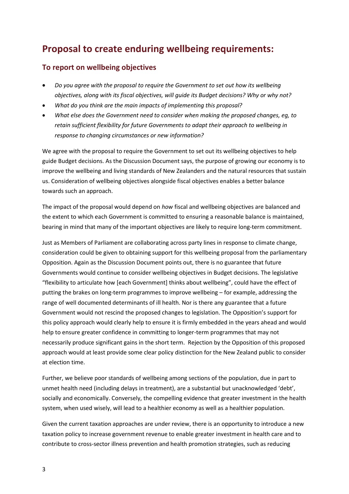#### **Proposal to create enduring wellbeing requirements:**

#### **To report on wellbeing objectives**

- *Do you agree with the proposal to require the Government to set out how its wellbeing objectives, along with its fiscal objectives, will guide its Budget decisions? Why or why not?*
- *What do you think are the main impacts of implementing this proposal?*
- *What else does the Government need to consider when making the proposed changes, eg, to retain sufficient flexibility for future Governments to adapt their approach to wellbeing in response to changing circumstances or new information?*

We agree with the proposal to require the Government to set out its wellbeing objectives to help guide Budget decisions. As the Discussion Document says, the purpose of growing our economy is to improve the wellbeing and living standards of New Zealanders and the natural resources that sustain us. Consideration of wellbeing objectives alongside fiscal objectives enables a better balance towards such an approach.

The impact of the proposal would depend on *how* fiscal and wellbeing objectives are balanced and the extent to which each Government is committed to ensuring a reasonable balance is maintained, bearing in mind that many of the important objectives are likely to require long-term commitment.

Just as Members of Parliament are collaborating across party lines in response to climate change, consideration could be given to obtaining support for this wellbeing proposal from the parliamentary Opposition. Again as the Discussion Document points out, there is no guarantee that future Governments would continue to consider wellbeing objectives in Budget decisions. The legislative "flexibility to articulate how [each Government] thinks about wellbeing", could have the effect of putting the brakes on long-term programmes to improve wellbeing – for example, addressing the range of well documented determinants of ill health. Nor is there any guarantee that a future Government would not rescind the proposed changes to legislation. The Opposition's support for this policy approach would clearly help to ensure it is firmly embedded in the years ahead and would help to ensure greater confidence in committing to longer-term programmes that may not necessarily produce significant gains in the short term. Rejection by the Opposition of this proposed approach would at least provide some clear policy distinction for the New Zealand public to consider at election time.

Further, we believe poor standards of wellbeing among sections of the population, due in part to unmet health need (including delays in treatment), are a substantial but unacknowledged 'debt', socially and economically. Conversely, the compelling evidence that greater investment in the health system, when used wisely, will lead to a healthier economy as well as a healthier population.

Given the current taxation approaches are under review, there is an opportunity to introduce a new taxation policy to increase government revenue to enable greater investment in health care and to contribute to cross-sector illness prevention and health promotion strategies, such as reducing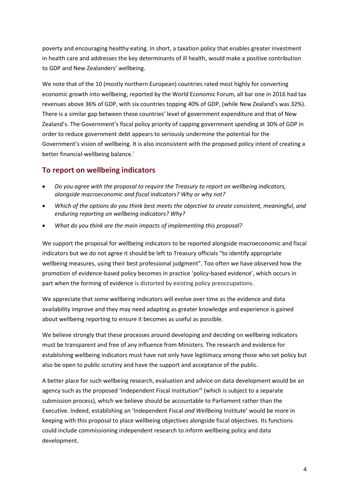poverty and encouraging healthy eating. In short, a taxation policy that enables greater investment in health care and addresses the key determinants of ill health, would make a positive contribution to GDP and New Zealanders' wellbeing.

We note that of the 10 (mostly northern European) countries rated most highly for converting economic growth into wellbeing, reported by the World Economic Forum, all bar one in 2016 had tax revenues above 36% of GDP, with six countries topping 40% of GDP, (while New Zealand's was 32%). There is a similar gap between these countries' level of government expenditure and that of New Zealand's. The Government's fiscal policy priority of capping government spending at 30% of GDP in order to reduce government debt appears to seriously undermine the potential for the Government's vision of wellbeing. It is also inconsistent with the proposed policy intent of creating a better financial-wellbeing balance.<sup>i</sup>

#### **To report on wellbeing indicators**

- *Do you agree with the proposal to require the Treasury to report on wellbeing indicators, alongside macroeconomic and fiscal indicators? Why or why not?*
- *Which of the options do you think best meets the objective to create consistent, meaningful, and enduring reporting on wellbeing indicators? Why?*
- *What do you think are the main impacts of implementing this proposal?*

We support the proposal for wellbeing indicators to be reported alongside macroeconomic and fiscal indicators but we do not agree it should be left to Treasury officials "to identify appropriate wellbeing measures, using their best professional judgment". Too often we have observed how the promotion of evidence-based policy becomes in practice 'policy-based evidence', which occurs in part when the forming of evidence is distorted by existing policy preoccupations.

We appreciate that some wellbeing indicators will evolve over time as the evidence and data availability improve and they may need adapting as greater knowledge and experience is gained about wellbeing reporting to ensure it becomes as useful as possible.

We believe strongly that these processes around developing and deciding on wellbeing indicators must be transparent and free of any influence from Ministers. The research and evidence for establishing wellbeing indicators must have not only have legitimacy among those who set policy but also be open to public scrutiny and have the support and acceptance of the public.

A better place for such wellbeing research, evaluation and advice on data development would be an agency such as the proposed 'Independent Fiscal Institution'<sup>ii</sup> (which is subject to a separate submission process), which we believe should be accountable to Parliament rather than the Executive. Indeed, establishing an 'Independent Fiscal *and Wellbeing* Institute' would be more in keeping with this proposal to place wellbeing objectives alongside fiscal objectives. Its functions could include commissioning independent research to inform wellbeing policy and data development.